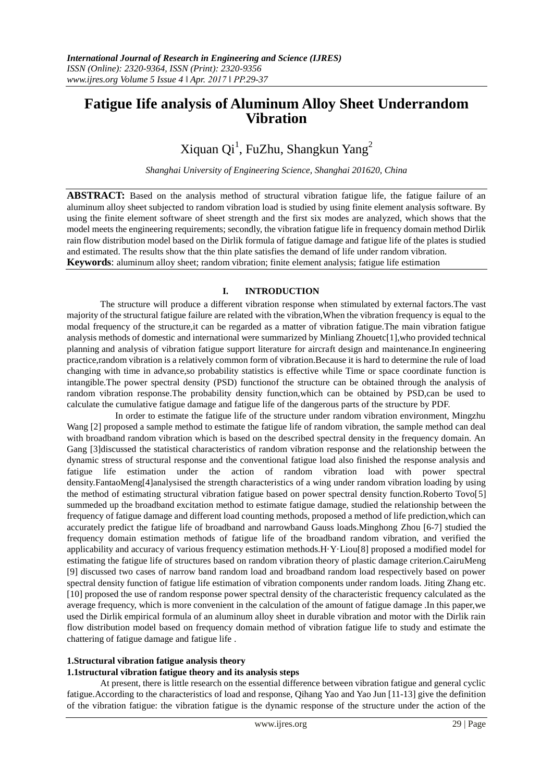# **Fatigue Iife analysis of Aluminum Alloy Sheet Underrandom Vibration**

# Xiquan Qi<sup>1</sup>, FuZhu, Shangkun Yang<sup>2</sup>

*Shanghai University of Engineering Science, Shanghai 201620, China*

**ABSTRACT:** Based on the analysis method of structural vibration fatigue life, the fatigue failure of an aluminum alloy sheet subjected to random vibration load is studied by using finite element analysis software. By using the finite element software of sheet strength and the first six modes are analyzed, which shows that the model meets the engineering requirements; secondly, the vibration fatigue life in frequency domain method Dirlik rain flow distribution model based on the Dirlik formula of fatigue damage and fatigue life of the plates is studied and estimated. The results show that the thin plate satisfies the demand of life under random vibration. **Keywords**: aluminum alloy sheet; random vibration; finite element analysis; fatigue life estimation

## **I. INTRODUCTION**

The structure will produce a different vibration response when stimulated by external factors.The vast majority of the structural fatigue failure are related with the vibration,When the vibration frequency is equal to the modal frequency of the structure,it can be regarded as a matter of vibration fatigue.The main vibration fatigue analysis methods of domestic and international were summarized by Minliang Zhouetc[1],who provided technical planning and analysis of vibration fatigue support literature for aircraft design and maintenance.In engineering practice,random vibration is a relatively common form of vibration.Because it is hard to determine the rule of load changing with time in advance,so probability statistics is effective while Time or space coordinate function is intangible.The power spectral density (PSD) functionof the structure can be obtained through the analysis of random vibration response.The probability density function,which can be obtained by PSD,can be used to calculate the cumulative fatigue damage and fatigue life of the dangerous parts of the structure by PDF.

 In order to estimate the fatigue life of the structure under random vibration environment, Mingzhu Wang [2] proposed a sample method to estimate the fatigue life of random vibration, the sample method can deal with broadband random vibration which is based on the described spectral density in the frequency domain. An Gang [3]discussed the statistical characteristics of random vibration response and the relationship between the dynamic stress of structural response and the conventional fatigue load also finished the response analysis and fatigue life estimation under the action of random vibration load with power spectral density.FantaoMeng[4]analysised the strength characteristics of a wing under random vibration loading by using the method of estimating structural vibration fatigue based on power spectral density function.Roberto Tovo[5] summeded up the broadband excitation method to estimate fatigue damage, studied the relationship between the frequency of fatigue damage and different load counting methods, proposed a method of life prediction,which can accurately predict the fatigue life of broadband and narrowband Gauss loads.Minghong Zhou [6-7] studied the frequency domain estimation methods of fatigue life of the broadband random vibration, and verified the applicability and accuracy of various frequency estimation methods.H·Y·Liou[8] proposed a modified model for estimating the fatigue life of structures based on random vibration theory of plastic damage criterion.CairuMeng [9] discussed two cases of narrow band random load and broadband random load respectively based on power spectral density function of fatigue life estimation of vibration components under random loads. Jiting Zhang etc. [10] proposed the use of random response power spectral density of the characteristic frequency calculated as the average frequency, which is more convenient in the calculation of the amount of fatigue damage .In this paper,we used the Dirlik empirical formula of an aluminum alloy sheet in durable vibration and motor with the Dirlik rain flow distribution model based on frequency domain method of vibration fatigue life to study and estimate the chattering of fatigue damage and fatigue life .

## **1.Structural vibration fatigue analysis theory**

## **1.1structural vibration fatigue theory and its analysis steps**

At present, there is little research on the essential difference between vibration fatigue and general cyclic fatigue.According to the characteristics of load and response, Qihang Yao and Yao Jun [11-13] give the definition of the vibration fatigue: the vibration fatigue is the dynamic response of the structure under the action of the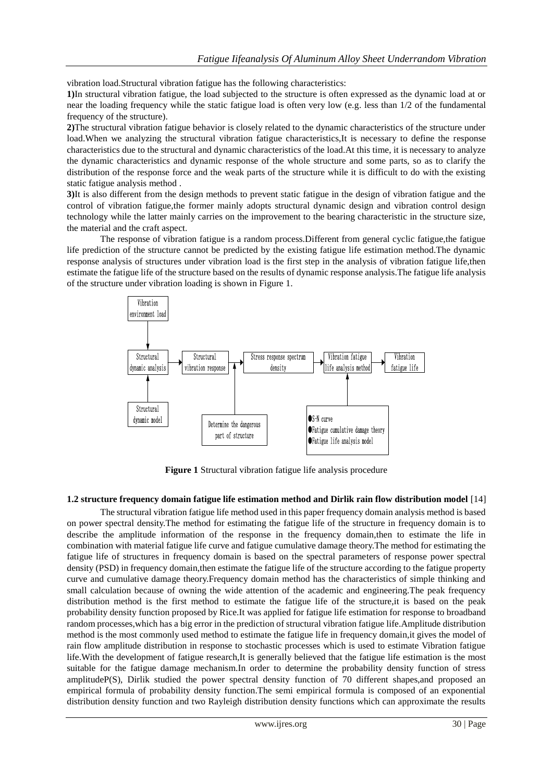vibration load.Structural vibration fatigue has the following characteristics:

**1)**In structural vibration fatigue, the load subjected to the structure is often expressed as the dynamic load at or near the loading frequency while the static fatigue load is often very low (e.g. less than 1/2 of the fundamental frequency of the structure).

**2)**The structural vibration fatigue behavior is closely related to the dynamic characteristics of the structure under load.When we analyzing the structural vibration fatigue characteristics,It is necessary to define the response characteristics due to the structural and dynamic characteristics of the load.At this time, it is necessary to analyze the dynamic characteristics and dynamic response of the whole structure and some parts, so as to clarify the distribution of the response force and the weak parts of the structure while it is difficult to do with the existing static fatigue analysis method .

**3)**It is also different from the design methods to prevent static fatigue in the design of vibration fatigue and the control of vibration fatigue,the former mainly adopts structural dynamic design and vibration control design technology while the latter mainly carries on the improvement to the bearing characteristic in the structure size, the material and the craft aspect.

The response of vibration fatigue is a random process.Different from general cyclic fatigue,the fatigue life prediction of the structure cannot be predicted by the existing fatigue life estimation method.The dynamic response analysis of structures under vibration load is the first step in the analysis of vibration fatigue life,then estimate the fatigue life of the structure based on the results of dynamic response analysis.The fatigue life analysis of the structure under vibration loading is shown in Figure 1.



**Figure 1** Structural vibration fatigue life analysis procedure

## **1.2 structure frequency domain fatigue life estimation method and Dirlik rain flow distribution model** [14]

The structural vibration fatigue life method used in this paper frequency domain analysis method is based on power spectral density.The method for estimating the fatigue life of the structure in frequency domain is to describe the amplitude information of the response in the frequency domain,then to estimate the life in combination with material fatigue life curve and fatigue cumulative damage theory.The method for estimating the fatigue life of structures in frequency domain is based on the spectral parameters of response power spectral density (PSD) in frequency domain,then estimate the fatigue life of the structure according to the fatigue property curve and cumulative damage theory.Frequency domain method has the characteristics of simple thinking and small calculation because of owning the wide attention of the academic and engineering.The peak frequency distribution method is the first method to estimate the fatigue life of the structure,it is based on the peak probability density function proposed by Rice.It was applied for fatigue life estimation for response to broadband random processes,which has a big error in the prediction of structural vibration fatigue life.Amplitude distribution method is the most commonly used method to estimate the fatigue life in frequency domain,it gives the model of rain flow amplitude distribution in response to stochastic processes which is used to estimate Vibration fatigue life.With the development of fatigue research,It is generally believed that the fatigue life estimation is the most suitable for the fatigue damage mechanism.In order to determine the probability density function of stress amplitudeP(S), Dirlik studied the power spectral density function of 70 different shapes,and proposed an empirical formula of probability density function.The semi empirical formula is composed of an exponential distribution density function and two Rayleigh distribution density functions which can approximate the results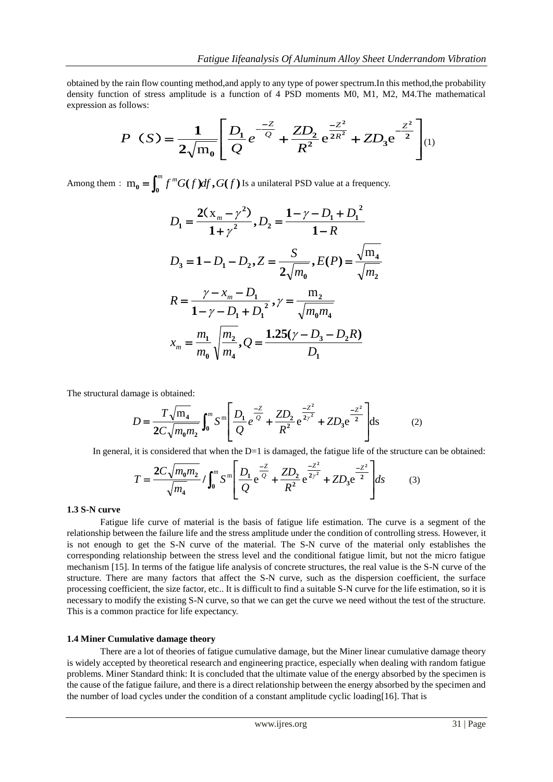obtained by the rain flow counting method,and apply to any type of power spectrum.In this method,the probability density function of stress amplitude is a function of 4 PSD moments M0, M1, M2, M4.The mathematical expression as follows:

$$
P(S) = \frac{1}{2\sqrt{m_0}} \left[ \frac{D_1}{Q} e^{-\frac{-Z}{Q}} + \frac{Z D_2}{R^2} e^{\frac{-Z^2}{2R^2}} + Z D_3 e^{-\frac{Z^2}{2}} \right] (1)
$$

Among them :  $m_0 = \int_0^m f^m G(f) df$ ,  $G(f)$  Is a unilateral PSD value at a frequency.

$$
D_1 = \frac{2(x_m - \gamma^2)}{1 + \gamma^2}, D_2 = \frac{1 - \gamma - D_1 + D_1^2}{1 - R}
$$
  
\n
$$
D_3 = 1 - D_1 - D_2, Z = \frac{S}{2\sqrt{m_0}}, E(P) = \frac{\sqrt{m_4}}{\sqrt{m_2}}
$$
  
\n
$$
R = \frac{\gamma - x_m - D_1}{1 - \gamma - D_1 + D_1^2}, \gamma = \frac{m_2}{\sqrt{m_0 m_4}}
$$
  
\n
$$
x_m = \frac{m_1}{m_0} \sqrt{\frac{m_2}{m_4}}, Q = \frac{1.25(\gamma - D_3 - D_2 R)}{D_1}
$$

The structural damage is obtained:

$$
D = \frac{T\sqrt{m_4}}{2C\sqrt{m_0 m_2}} \int_0^m S^m \left[ \frac{D_1}{Q} e^{\frac{-Z}{Q}} + \frac{ZD_2}{R^2} e^{\frac{-Z^2}{2\gamma^2}} + ZD_3 e^{\frac{-Z^2}{2}} \right] ds \tag{2}
$$

In general, it is considered that when the D=1 is damaged, the fatigue life of the structure can be obtained:

$$
T = \frac{2C\sqrt{m_0 m_2}}{\sqrt{m_4}} / \int_0^m S^{\text{m}} \left[ \frac{D_1}{Q} e^{\frac{-Z}{Q}} + \frac{Z D_2}{R^2} e^{\frac{-Z^2}{2\gamma^2}} + Z D_3 e^{\frac{-Z^2}{2}} \right] ds \tag{3}
$$

## **1.3 S-N curve**

Fatigue life curve of material is the basis of fatigue life estimation. The curve is a segment of the relationship between the failure life and the stress amplitude under the condition of controlling stress. However, it is not enough to get the S-N curve of the material. The S-N curve of the material only establishes the corresponding relationship between the stress level and the conditional fatigue limit, but not the micro fatigue mechanism [15]. In terms of the fatigue life analysis of concrete structures, the real value is the S-N curve of the structure. There are many factors that affect the S-N curve, such as the dispersion coefficient, the surface processing coefficient, the size factor, etc.. It is difficult to find a suitable S-N curve for the life estimation, so it is necessary to modify the existing S-N curve, so that we can get the curve we need without the test of the structure. This is a common practice for life expectancy.

## **1.4 Miner Cumulative damage theory**

There are a lot of theories of fatigue cumulative damage, but the Miner linear cumulative damage theory is widely accepted by theoretical research and engineering practice, especially when dealing with random fatigue problems. Miner Standard think: It is concluded that the ultimate value of the energy absorbed by the specimen is the cause of the fatigue failure, and there is a direct relationship between the energy absorbed by the specimen and the number of load cycles under the condition of a constant amplitude cyclic loading[16]. That is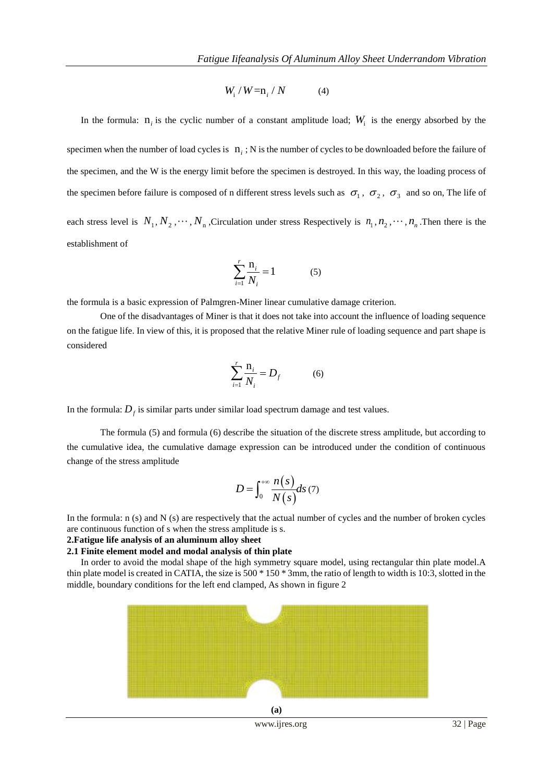$$
W_i / W = n_i / N \tag{4}
$$

In the formula:  $n_i$  is the cyclic number of a constant amplitude load;  $W_i$  is the energy absorbed by the specimen when the number of load cycles is  $n_i$ ; N is the number of cycles to be downloaded before the failure of the specimen, and the W is the energy limit before the specimen is destroyed. In this way, the loading process of the specimen before failure is composed of n different stress levels such as  $\sigma_1$ ,  $\sigma_2$ ,  $\sigma_3$  and so on, The life of each stress level is  $N_1, N_2, \cdots, N_n$ , Circulation under stress Respectively is  $n_1, n_2, \cdots, n_n$ . Then there is the establishment of

$$
\sum_{i=1}^{r} \frac{\mathbf{n}_i}{N_i} = 1\tag{5}
$$

the formula is a basic expression of Palmgren-Miner linear cumulative damage criterion.

One of the disadvantages of Miner is that it does not take into account the influence of loading sequence on the fatigue life. In view of this, it is proposed that the relative Miner rule of loading sequence and part shape is considered

$$
\sum_{i=1}^{r} \frac{\mathbf{n}_i}{N_i} = D_f \tag{6}
$$

In the formula:  $D_f$  is similar parts under similar load spectrum damage and test values.

The formula (5) and formula (6) describe the situation of the discrete stress amplitude, but according to the cumulative idea, the cumulative damage expression can be introduced under the condition of continuous change of the stress amplitude

$$
D = \int_0^{+\infty} \frac{n(s)}{N(s)} ds \tag{7}
$$

In the formula: n (s) and N (s) are respectively that the actual number of cycles and the number of broken cycles are continuous function of s when the stress amplitude is s.

#### **2.Fatigue life analysis of an aluminum alloy sheet**

#### **2.1 Finite element model and modal analysis of thin plate**

In order to avoid the modal shape of the high symmetry square model, using rectangular thin plate model.A thin plate model is created in CATIA, the size is 500 \* 150 \* 3mm, the ratio of length to width is 10:3, slotted in the middle, boundary conditions for the left end clamped, As shown in figure 2



www.ijres.org 32 | Page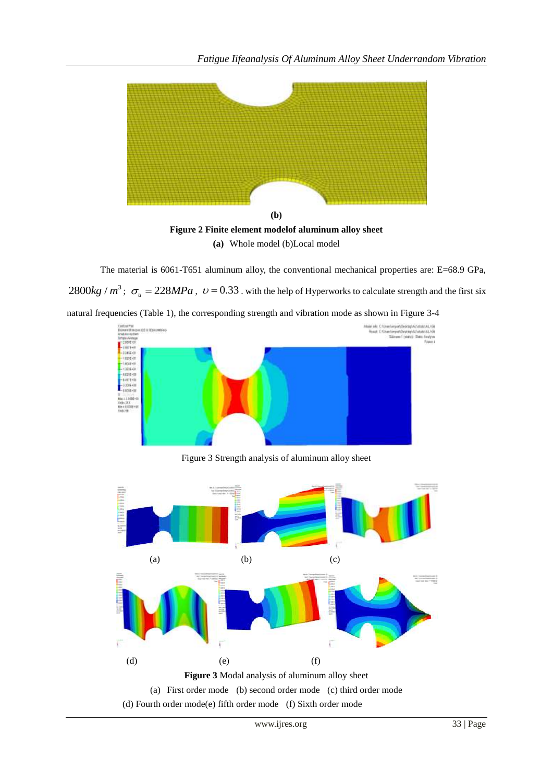



The material is 6061-T651 aluminum alloy, the conventional mechanical properties are: E=68.9 GPa,  $2800 kg / m^3$ ;  $\sigma_u = 228 MPa$ ,  $v = 0.33$ . with the help of Hyperworks to calculate strength and the first six natural frequencies (Table 1), the corresponding strength and vibration mode as shown in Figure 3-4



Figure 3 Strength analysis of aluminum alloy sheet

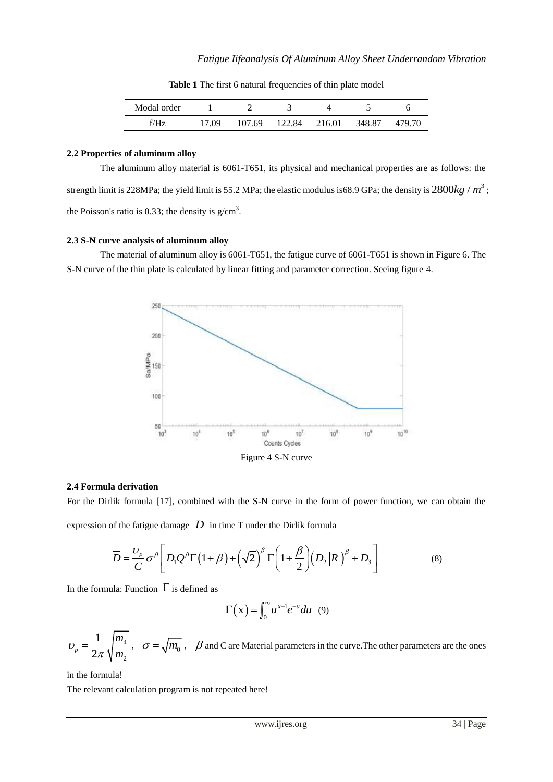**Table 1** The first 6 natural frequencies of thin plate model

| Modal order |       |        |               |        |        |
|-------------|-------|--------|---------------|--------|--------|
| f/H7        | 17.09 | 107.69 | 122.84 216.01 | 348.87 | 479.70 |

#### **2.2 Properties of aluminum alloy**

The aluminum alloy material is 6061-T651, its physical and mechanical properties are as follows: the strength limit is 228MPa; the yield limit is 55.2 MPa; the elastic modulus is68.9 GPa; the density is  $2800 kg / m^3$ ; the Poisson's ratio is 0.33; the density is  $g/cm^3$ .

## **2.3 S-N curve analysis of aluminum alloy**

The material of aluminum alloy is 6061-T651, the fatigue curve of 6061-T651 is shown in Figure 6. The S-N curve of the thin plate is calculated by linear fitting and parameter correction. Seeing figure 4.



Figure 4 S-N curve

## **2.4 Formula derivation**

For the Dirlik formula [17], combined with the S-N curve in the form of power function, we can obtain the

expression of the fatigue damage 
$$
\overline{D}
$$
 in time T under the Dirlik formula  
\n
$$
\overline{D} = \frac{v_p}{C} \sigma^\beta \left[ D_1 Q^\beta \Gamma \left( 1 + \beta \right) + \left( \sqrt{2} \right)^\beta \Gamma \left( 1 + \frac{\beta}{2} \right) \left( D_2 |R| \right)^\beta + D_3 \right]
$$
\n(8)

In the formula: Function  $\Gamma$  is defined as

$$
\Gamma(x) = \int_0^\infty u^{x-1} e^{-u} du \quad (9)
$$

$$
U_p = \frac{1}{2\pi} \sqrt{\frac{m_4}{m_2}} , \quad \sigma = \sqrt{m_0} , \quad \beta \text{ and C are Material parameters in the curve. The other parameters are the ones
$$

in the formula!

The relevant calculation program is not repeated here!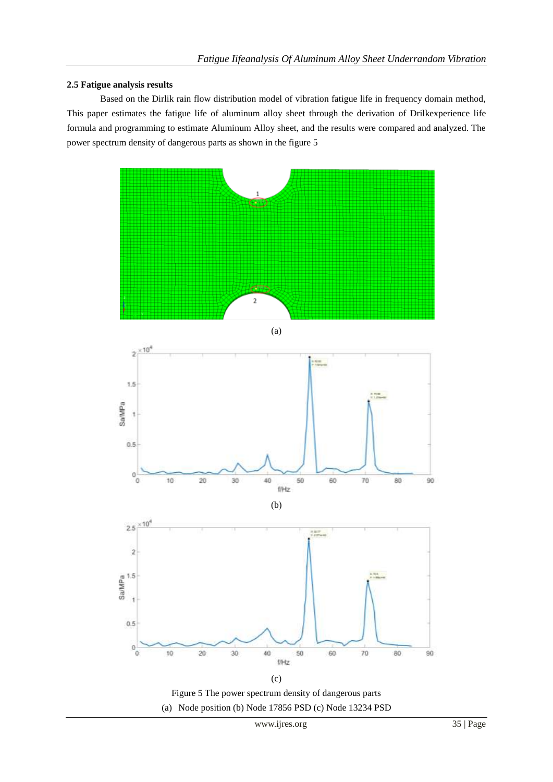## **2.5 Fatigue analysis results**

Based on the Dirlik rain flow distribution model of vibration fatigue life in frequency domain method, This paper estimates the fatigue life of aluminum alloy sheet through the derivation of Drilkexperience life formula and programming to estimate Aluminum Alloy sheet, and the results were compared and analyzed. The power spectrum density of dangerous parts as shown in the figure 5









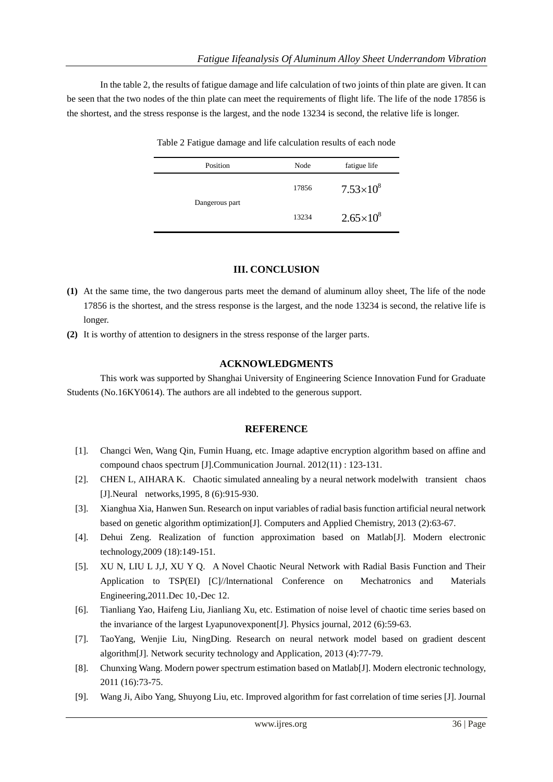In the table 2, the results of fatigue damage and life calculation of two joints of thin plate are given. It can be seen that the two nodes of the thin plate can meet the requirements of flight life. The life of the node 17856 is the shortest, and the stress response is the largest, and the node 13234 is second, the relative life is longer.

| Position       | Node  | fatigue life       |
|----------------|-------|--------------------|
| Dangerous part | 17856 | $7.53\times10^{8}$ |
|                | 13234 | $2.65 \times 10^8$ |

Table 2 Fatigue damage and life calculation results of each node

# **III. CONCLUSION**

- **(1)** At the same time, the two dangerous parts meet the demand of aluminum alloy sheet, The life of the node 17856 is the shortest, and the stress response is the largest, and the node 13234 is second, the relative life is longer.
- **(2)** It is worthy of attention to designers in the stress response of the larger parts.

# **ACKNOWLEDGMENTS**

This work was supported by Shanghai University of Engineering Science Innovation Fund for Graduate Students (No.16KY0614). The authors are all indebted to the generous support.

# **REFERENCE**

- [1]. Changci Wen, Wang Qin, Fumin Huang, etc. Image adaptive encryption algorithm based on affine and compound chaos spectrum [J].Communication Journal. 2012(11) : 123-131.
- [2]. CHEN L, AIHARA K. Chaotic simulated annealing by a neural network modelwith transient chaos [J].Neural networks,1995, 8 (6):915-930.
- [3]. Xianghua Xia, Hanwen Sun. Research on input variables of radial basis function artificial neural network based on genetic algorithm optimization[J]. Computers and Applied Chemistry, 2013 (2):63-67.
- [4]. Dehui Zeng. Realization of function approximation based on Matlab[J]. Modern electronic technology,2009 (18):149-151.
- [5]. XU N, LIU L J,J, XU Y Q. A Novel Chaotic Neural Network with Radial Basis Function and Their Application to TSP(EI) [C]//lnternational Conference on Mechatronics and Materials Engineering,2011.Dec 10,-Dec 12.
- [6]. Tianliang Yao, Haifeng Liu, Jianliang Xu, etc. Estimation of noise level of chaotic time series based on the invariance of the largest Lyapunovexponent[J]. Physics journal, 2012 (6):59-63.
- [7]. TaoYang, Wenjie Liu, NingDing. Research on neural network model based on gradient descent algorithm[J]. Network security technology and Application, 2013 (4):77-79.
- [8]. Chunxing Wang. Modern power spectrum estimation based on Matlab[J]. Modern electronic technology, 2011 (16):73-75.
- [9]. Wang Ji, Aibo Yang, Shuyong Liu, etc. Improved algorithm for fast correlation of time series [J]. Journal